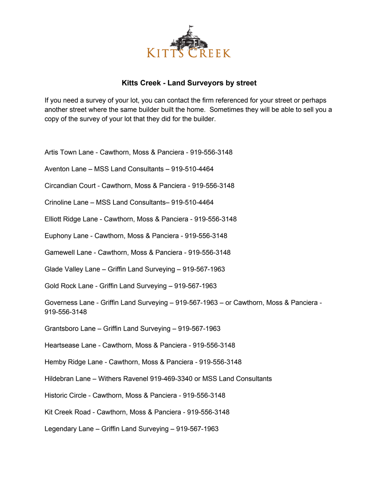

## **Kitts Creek - Land Surveyors by street**

If you need a survey of your lot, you can contact the firm referenced for your street or perhaps another street where the same builder built the home. Sometimes they will be able to sell you a copy of the survey of your lot that they did for the builder.

Artis Town Lane - Cawthorn, Moss & Panciera - 919-556-3148

Aventon Lane – MSS Land Consultants – 919-510-4464

Circandian Court - Cawthorn, Moss & Panciera - 919-556-3148

Crinoline Lane – MSS Land Consultants– 919-510-4464

Elliott Ridge Lane - Cawthorn, Moss & Panciera - 919-556-3148

Euphony Lane - Cawthorn, Moss & Panciera - 919-556-3148

Gamewell Lane - Cawthorn, Moss & Panciera - 919-556-3148

Glade Valley Lane – Griffin Land Surveying – 919-567-1963

Gold Rock Lane - Griffin Land Surveying – 919-567-1963

Governess Lane - Griffin Land Surveying – 919-567-1963 – or Cawthorn, Moss & Panciera - 919-556-3148

Grantsboro Lane – Griffin Land Surveying – 919-567-1963

Heartsease Lane - Cawthorn, Moss & Panciera - 919-556-3148

Hemby Ridge Lane - Cawthorn, Moss & Panciera - 919-556-3148

Hildebran Lane – Withers Ravenel 919-469-3340 or MSS Land Consultants

Historic Circle - Cawthorn, Moss & Panciera - 919-556-3148

Kit Creek Road - Cawthorn, Moss & Panciera - 919-556-3148

Legendary Lane – Griffin Land Surveying – 919-567-1963